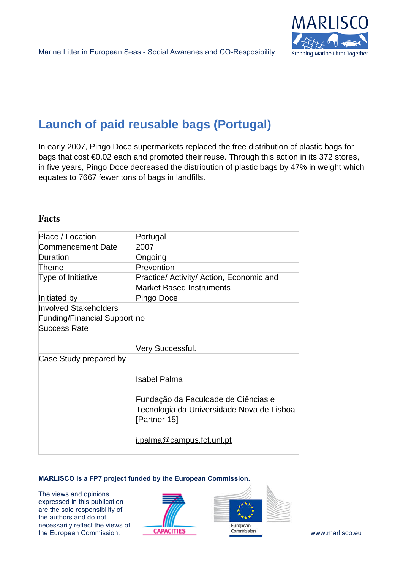

# **Launch of paid reusable bags (Portugal)**

In early 2007, Pingo Doce supermarkets replaced the free distribution of plastic bags for bags that cost €0.02 each and promoted their reuse. Through this action in its 372 stores, in five years, Pingo Doce decreased the distribution of plastic bags by 47% in weight which equates to 7667 fewer tons of bags in landfills.

## **Facts**

| Place / Location             | Portugal                                                                                                                                             |
|------------------------------|------------------------------------------------------------------------------------------------------------------------------------------------------|
| Commencement Date            | 2007                                                                                                                                                 |
| Duration                     | Ongoing                                                                                                                                              |
| Theme                        | Prevention                                                                                                                                           |
| Type of Initiative           | Practice/ Activity/ Action, Economic and                                                                                                             |
|                              | <b>Market Based Instruments</b>                                                                                                                      |
| Initiated by                 | Pingo Doce                                                                                                                                           |
| <b>Involved Stakeholders</b> |                                                                                                                                                      |
| Funding/Financial Support no |                                                                                                                                                      |
| <b>Success Rate</b>          | Very Successful.                                                                                                                                     |
| Case Study prepared by       | Isabel Palma<br>Fundação da Faculdade de Ciências e<br>Tecnologia da Universidade Nova de Lisboa<br>[Partner 15]<br><u>i.palma@campus.fct.unl.pt</u> |

#### **MARLISCO is a FP7 project funded by the European Commission.**

The views and opinions expressed in this publication are the sole responsibility of the authors and do not necessarily reflect the views of the European Commission. **CAPACITIES COMMISSION COMMISSION COMMISSION COMMISSION WWW.marlisco.eu**